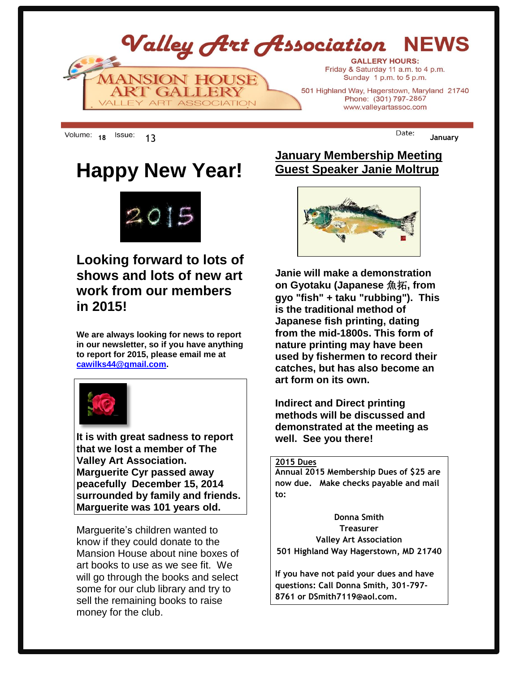

**<sup>18</sup>** 13 **January**

## **Happy New Year!**



## **Looking forward to lots of shows and lots of new art work from our members in 2015!**

**We are always looking for news to report in our newsletter, so if you have anything to report for 2015, please email me at [cawilks44@gmail.com.](mailto:cawilks44@gmail.com)**



**It is with great sadness to report that we lost a member of The Valley Art Association. Marguerite Cyr passed away peacefully December 15, 2014 surrounded by family and friends. Marguerite was 101 years old.** 

Marguerite's children wanted to know if they could donate to the Mansion House about nine boxes of art books to use as we see fit. We will go through the books and select some for our club library and try to sell the remaining books to raise money for the club.

### **January Membership Meeting Guest Speaker Janie Moltrup**



**Janie will make a demonstration on Gyotaku (Japanese** 魚拓**, from gyo "fish" + taku "rubbing"). This is the traditional method of Japanese fish printing, dating from the mid-1800s. This form of nature printing may have been used by fishermen to record their catches, but has also become an art form on its own.**

**Indirect and Direct printing methods will be discussed and demonstrated at the meeting as well. See you there!**

#### **2015 Dues**

**Annual 2015 Membership Dues of \$25 are now due. Make checks payable and mail to:**

**Donna Smith Treasurer Valley Art Association 501 Highland Way Hagerstown, MD 21740**

**If you have not paid your dues and have questions: Call Donna Smith, 301-797- 8761 or DSmith7119@aol.com.**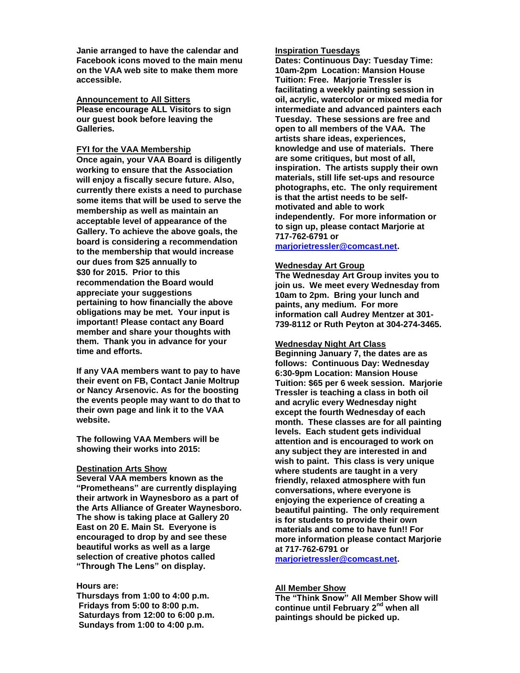**Janie arranged to have the calendar and Facebook icons moved to the main menu on the VAA web site to make them more accessible.** 

**Announcement to All Sitters Please encourage ALL Visitors to sign our guest book before leaving the Galleries.**

#### **FYI for the VAA Membership**

**Once again, your VAA Board is diligently working to ensure that the Association will enjoy a fiscally secure future. Also, currently there exists a need to purchase some items that will be used to serve the membership as well as maintain an acceptable level of appearance of the Gallery. To achieve the above goals, the board is considering a recommendation to the membership that would increase our dues from \$25 annually to \$30 for 2015. Prior to this recommendation the Board would appreciate your suggestions pertaining to how financially the above obligations may be met. Your input is important! Please contact any Board member and share your thoughts with them. Thank you in advance for your time and efforts.**

**If any VAA members want to pay to have their event on FB, Contact Janie Moltrup or Nancy Arsenovic. As for the boosting the events people may want to do that to their own page and link it to the VAA website.**

**The following VAA Members will be showing their works into 2015:**

#### **Destination Arts Show**

**Several VAA members known as the "Prometheans" are currently displaying their artwork in Waynesboro as a part of the Arts Alliance of Greater Waynesboro. The show is taking place at Gallery 20 East on 20 E. Main St. Everyone is encouraged to drop by and see these beautiful works as well as a large selection of creative photos called "Through The Lens" on display.**

#### **Hours are:**

**Thursdays from 1:00 to 4:00 p.m. Fridays from 5:00 to 8:00 p.m. Saturdays from 12:00 to 6:00 p.m. Sundays from 1:00 to 4:00 p.m.**

#### **Inspiration Tuesdays**

**Dates: Continuous Day: Tuesday Time: 10am-2pm Location: Mansion House Tuition: Free. Marjorie Tressler is facilitating a weekly painting session in oil, acrylic, watercolor or mixed media for intermediate and advanced painters each Tuesday. These sessions are free and open to all members of the VAA. The artists share ideas, experiences, knowledge and use of materials. There are some critiques, but most of all, inspiration. The artists supply their own materials, still life set-ups and resource photographs, etc. The only requirement is that the artist needs to be selfmotivated and able to work independently. For more information or to sign up, please contact Marjorie at 717-762-6791 or** 

**[marjorietressler@comcast.net.](mailto:marjorietressler@comcast.net)**

#### **Wednesday Art Group**

**The Wednesday Art Group invites you to join us. We meet every Wednesday from 10am to 2pm. Bring your lunch and paints, any medium. For more information call Audrey Mentzer at 301- 739-8112 or Ruth Peyton at 304-274-3465.**

#### **Wednesday Night Art Class**

**Beginning January 7, the dates are as follows: Continuous Day: Wednesday 6:30-9pm Location: Mansion House Tuition: \$65 per 6 week session. Marjorie Tressler is teaching a class in both oil and acrylic every Wednesday night except the fourth Wednesday of each month. These classes are for all painting levels. Each student gets individual attention and is encouraged to work on any subject they are interested in and wish to paint. This class is very unique where students are taught in a very friendly, relaxed atmosphere with fun conversations, where everyone is enjoying the experience of creating a beautiful painting. The only requirement is for students to provide their own materials and come to have fun!! For more information please contact Marjorie at 717-762-6791 or** 

**[marjorietressler@comcast.net.](mailto:marjorietressler@comcast.net)**

#### **All Member Show**

**The "Think Snow" All Member Show will continue until February 2nd when all paintings should be picked up.**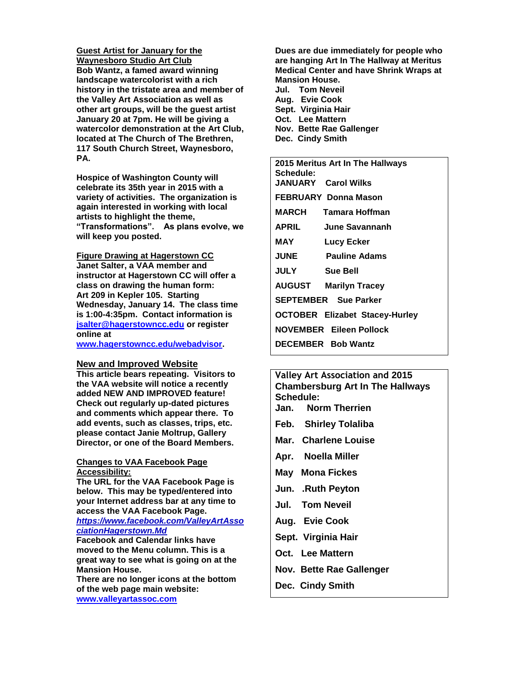**Guest Artist for January for the Waynesboro Studio Art Club Bob Wantz, a famed award winning landscape watercolorist with a rich history in the tristate area and member of the Valley Art Association as well as other art groups, will be the guest artist January 20 at 7pm. He will be giving a watercolor demonstration at the Art Club, located at The Church of The Brethren, 117 South Church Street, Waynesboro, PA.**

**Hospice of Washington County will celebrate its 35th year in 2015 with a variety of activities. The organization is again interested in working with local artists to highlight the theme, "Transformations". As plans evolve, we will keep you posted.**

**Figure Drawing at Hagerstown CC Janet Salter, a VAA member and instructor at Hagerstown CC will offer a class on drawing the human form: Art 209 in Kepler 105. Starting Wednesday, January 14. The class time is 1:00-4:35pm. Contact information is [jsalter@hagerstowncc.edu](mailto:jsalter@hagerstowncc.edu) or register online at** 

**[www.hagerstowncc.edu/webadvisor.](http://www.hagerstowncc.edu/webadvisor)**

#### **New and Improved Website**

**This article bears repeating. Visitors to the VAA website will notice a recently added NEW AND IMPROVED feature! Check out regularly up-dated pictures and comments which appear there. To add events, such as classes, trips, etc. please contact Janie Moltrup, Gallery Director, or one of the Board Members.**

#### **Changes to VAA Facebook Page Accessibility:**

**The URL for the VAA Facebook Page is below. This may be typed/entered into your Internet address bar at any time to access the VAA Facebook Page.**

#### *[https://www.facebook.com/ValleyArtAsso](https://www.facebook.com/ValleyArtAssociationHagerstown.Md) [ciationHagerstown.Md](https://www.facebook.com/ValleyArtAssociationHagerstown.Md)*

**Facebook and Calendar links have moved to the Menu column. This is a great way to see what is going on at the Mansion House.** 

**There are no longer icons at the bottom of the web page main website: [www.valleyartassoc.com](http://www.valleyartassoc.com/)**

**Dues are due immediately for people who are hanging Art In The Hallway at Meritus Medical Center and have Shrink Wraps at Mansion House. Jul. Tom Neveil Aug. Evie Cook**

- **Sept. Virginia Hair Oct. Lee Mattern Nov. Bette Rae Gallenger**
- **Dec. Cindy Smith**

**2015 Meritus Art In The Hallways Schedule: JANUARY Carol Wilks FEBRUARY Donna Mason MARCH Tamara Hoffman APRIL June Savannanh MAY Lucy Ecker JUNE Pauline Adams JULY Sue Bell AUGUST Marilyn Tracey SEPTEMBER Sue Parker OCTOBER Elizabet Stacey-Hurley NOVEMBER Eileen Pollock DECEMBER Bob Wantz** 

**Valley Art Association and 2015 Chambersburg Art In The Hallways Schedule: Jan. Norm Therrien Feb. Shirley Tolaliba Mar. Charlene Louise**

- **Apr. Noella Miller**
- **May Mona Fickes**
- **Jun. .Ruth Peyton**
- **Jul. Tom Neveil**
- **Aug. Evie Cook**
- **Sept. Virginia Hair**
- **Oct. Lee Mattern**
- **Nov. Bette Rae Gallenger**
- **Dec. Cindy Smith**